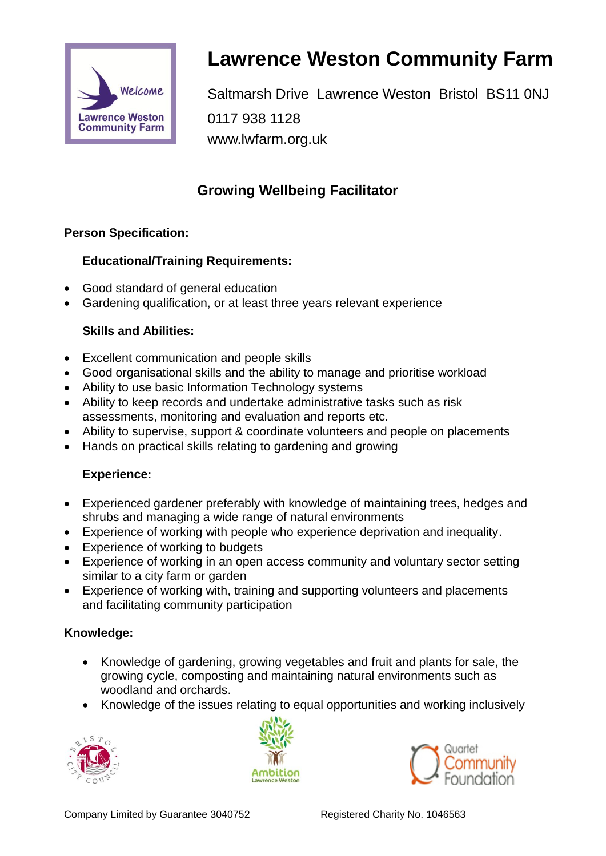

# **Lawrence Weston Community Farm**

Saltmarsh Drive Lawrence Weston Bristol BS11 0NJ 0117 938 1128 www.lwfarm.org.uk

# **Growing Wellbeing Facilitator**

#### **Person Specification:**

#### **Educational/Training Requirements:**

- Good standard of general education
- Gardening qualification, or at least three years relevant experience

#### **Skills and Abilities:**

- Excellent communication and people skills
- Good organisational skills and the ability to manage and prioritise workload
- Ability to use basic Information Technology systems
- Ability to keep records and undertake administrative tasks such as risk assessments, monitoring and evaluation and reports etc.
- Ability to supervise, support & coordinate volunteers and people on placements
- Hands on practical skills relating to gardening and growing

# **Experience:**

- Experienced gardener preferably with knowledge of maintaining trees, hedges and shrubs and managing a wide range of natural environments
- Experience of working with people who experience deprivation and inequality.
- Experience of working to budgets
- Experience of working in an open access community and voluntary sector setting similar to a city farm or garden
- Experience of working with, training and supporting volunteers and placements and facilitating community participation

# **Knowledge:**

- Knowledge of gardening, growing vegetables and fruit and plants for sale, the growing cycle, composting and maintaining natural environments such as woodland and orchards.
- Knowledge of the issues relating to equal opportunities and working inclusively